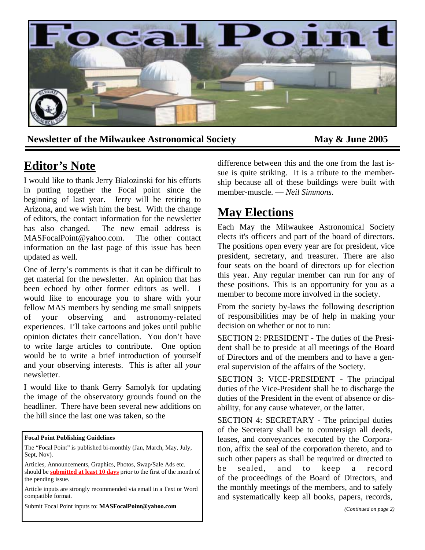

Newsletter of the Milwaukee Astronomical Society May & June 2005

## **Editor's Note**

I would like to thank Jerry Bialozinski for his efforts in putting together the Focal point since the beginning of last year. Jerry will be retiring to Arizona, and we wish him the best. With the change of editors, the contact information for the newsletter has also changed. The new email address is MASFocalPoint@yahoo.com. The other contact information on the last page of this issue has been updated as well.

One of Jerry's comments is that it can be difficult to get material for the newsletter. An opinion that has been echoed by other former editors as well. I would like to encourage you to share with your fellow MAS members by sending me small snippets of your observing and astronomy-related experiences. I'll take cartoons and jokes until public opinion dictates their cancellation. You don't have to write large articles to contribute. One option would be to write a brief introduction of yourself and your observing interests. This is after all *your* newsletter.

I would like to thank Gerry Samolyk for updating the image of the observatory grounds found on the headliner. There have been several new additions on the hill since the last one was taken, so the

#### **Focal Point Publishing Guidelines**

The "Focal Point" is published bi-monthly (Jan, March, May, July, Sept, Nov).

Articles, Announcements, Graphics, Photos, Swap/Sale Ads etc.

should be **submitted at least 10 days** prior to the first of the month of the pending issue.

Article inputs are strongly recommended via email in a Text or Word compatible format.

Submit Focal Point inputs to: **MASFocalPoint@yahoo.com**

difference between this and the one from the last issue is quite striking. It is a tribute to the membership because all of these buildings were built with member-muscle. — *Neil Simmons*.

# **May Elections**

Each May the Milwaukee Astronomical Society elects it's officers and part of the board of directors. The positions open every year are for president, vice president, secretary, and treasurer. There are also four seats on the board of directors up for election this year. Any regular member can run for any of these positions. This is an opportunity for you as a member to become more involved in the society.

From the society by-laws the following description of responsibilities may be of help in making your decision on whether or not to run:

SECTION 2: PRESIDENT - The duties of the President shall be to preside at all meetings of the Board of Directors and of the members and to have a general supervision of the affairs of the Society.

SECTION 3: VICE-PRESIDENT - The principal duties of the Vice-President shall be to discharge the duties of the President in the event of absence or disability, for any cause whatever, or the latter.

SECTION 4: SECRETARY - The principal duties of the Secretary shall be to countersign all deeds, leases, and conveyances executed by the Corporation, affix the seal of the corporation thereto, and to such other papers as shall be required or directed to be sealed, and to keep a record of the proceedings of the Board of Directors, and the monthly meetings of the members, and to safely and systematically keep all books, papers, records,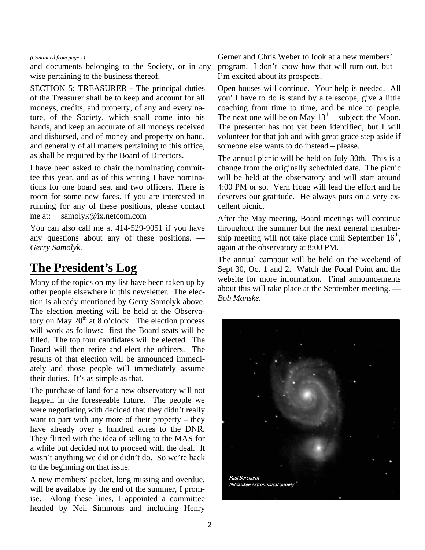#### *(Continued from page 1)*

and documents belonging to the Society, or in any wise pertaining to the business thereof.

SECTION 5: TREASURER - The principal duties of the Treasurer shall be to keep and account for all moneys, credits, and property, of any and every nature, of the Society, which shall come into his hands, and keep an accurate of all moneys received and disbursed, and of money and property on hand, and generally of all matters pertaining to this office, as shall be required by the Board of Directors.

I have been asked to chair the nominating committee this year, and as of this writing I have nominations for one board seat and two officers. There is room for some new faces. If you are interested in running for any of these positions, please contact me at: samolyk@ix.netcom.com

You can also call me at 414-529-9051 if you have any questions about any of these positions. — *Gerry Samolyk.*

## **The President's Log**

Many of the topics on my list have been taken up by other people elsewhere in this newsletter. The election is already mentioned by Gerry Samolyk above. The election meeting will be held at the Observatory on May  $20<sup>th</sup>$  at 8 o'clock. The election process will work as follows: first the Board seats will be filled. The top four candidates will be elected. The Board will then retire and elect the officers. The results of that election will be announced immediately and those people will immediately assume their duties. It's as simple as that.

The purchase of land for a new observatory will not happen in the foreseeable future. The people we were negotiating with decided that they didn't really want to part with any more of their property – they have already over a hundred acres to the DNR. They flirted with the idea of selling to the MAS for a while but decided not to proceed with the deal. It wasn't anything we did or didn't do. So we're back to the beginning on that issue.

A new members' packet, long missing and overdue, will be available by the end of the summer, I promise. Along these lines, I appointed a committee headed by Neil Simmons and including Henry

Gerner and Chris Weber to look at a new members' program. I don't know how that will turn out, but I'm excited about its prospects.

Open houses will continue. Your help is needed. All you'll have to do is stand by a telescope, give a little coaching from time to time, and be nice to people. The next one will be on May  $13<sup>th</sup>$  – subject: the Moon. The presenter has not yet been identified, but I will volunteer for that job and with great grace step aside if someone else wants to do instead – please.

The annual picnic will be held on July 30th. This is a change from the originally scheduled date. The picnic will be held at the observatory and will start around 4:00 PM or so. Vern Hoag will lead the effort and he deserves our gratitude. He always puts on a very excellent picnic.

After the May meeting, Board meetings will continue throughout the summer but the next general membership meeting will not take place until September  $16<sup>th</sup>$ , again at the observatory at 8:00 PM.

The annual campout will be held on the weekend of Sept 30, Oct 1 and 2. Watch the Focal Point and the website for more information. Final announcements about this will take place at the September meeting. — *Bob Manske.* 

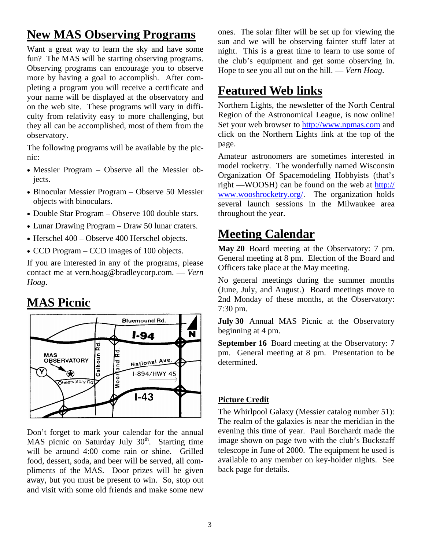# **New MAS Observing Programs**

Want a great way to learn the sky and have some fun? The MAS will be starting observing programs. Observing programs can encourage you to observe more by having a goal to accomplish. After completing a program you will receive a certificate and your name will be displayed at the observatory and on the web site. These programs will vary in difficulty from relativity easy to more challenging, but they all can be accomplished, most of them from the observatory.

The following programs will be available by the picnic:

- Messier Program Observe all the Messier objects.
- Binocular Messier Program Observe 50 Messier objects with binoculars.
- Double Star Program Observe 100 double stars.
- Lunar Drawing Program Draw 50 lunar craters.
- Herschel 400 Observe 400 Herschel objects.
- CCD Program CCD images of 100 objects.

If you are interested in any of the programs, please contact me at vern.hoag@bradleycorp.com. — *Vern Hoag*.

# **MAS Picnic**



Don't forget to mark your calendar for the annual MAS picnic on Saturday July  $30<sup>th</sup>$ . Starting time will be around 4:00 come rain or shine. Grilled food, dessert, soda, and beer will be served, all compliments of the MAS. Door prizes will be given away, but you must be present to win. So, stop out and visit with some old friends and make some new ones. The solar filter will be set up for viewing the sun and we will be observing fainter stuff later at night. This is a great time to learn to use some of the club's equipment and get some observing in. Hope to see you all out on the hill. — *Vern Hoag*.

# **Featured Web links**

Northern Lights, the newsletter of the North Central Region of the Astronomical League, is now online! Set your web browser to http://www.npmas.com and click on the Northern Lights link at the top of the page.

Amateur astronomers are sometimes interested in model rocketry. The wonderfully named Wisconsin Organization Of Spacemodeling Hobbyists (that's right —WOOSH) can be found on the web at http:// www.wooshrocketry.org/. The organization holds several launch sessions in the Milwaukee area throughout the year.

# **Meeting Calendar**

**May 20** Board meeting at the Observatory: 7 pm. General meeting at 8 pm. Election of the Board and Officers take place at the May meeting.

No general meetings during the summer months (June, July, and August.) Board meetings move to 2nd Monday of these months, at the Observatory: 7:30 pm.

**July 30** Annual MAS Picnic at the Observatory beginning at 4 pm.

**September 16** Board meeting at the Observatory: 7 pm. General meeting at 8 pm. Presentation to be determined.

## **Picture Credit**

The Whirlpool Galaxy (Messier catalog number 51): The realm of the galaxies is near the meridian in the evening this time of year. Paul Borchardt made the image shown on page two with the club's Buckstaff telescope in June of 2000. The equipment he used is available to any member on key-holder nights. See back page for details.